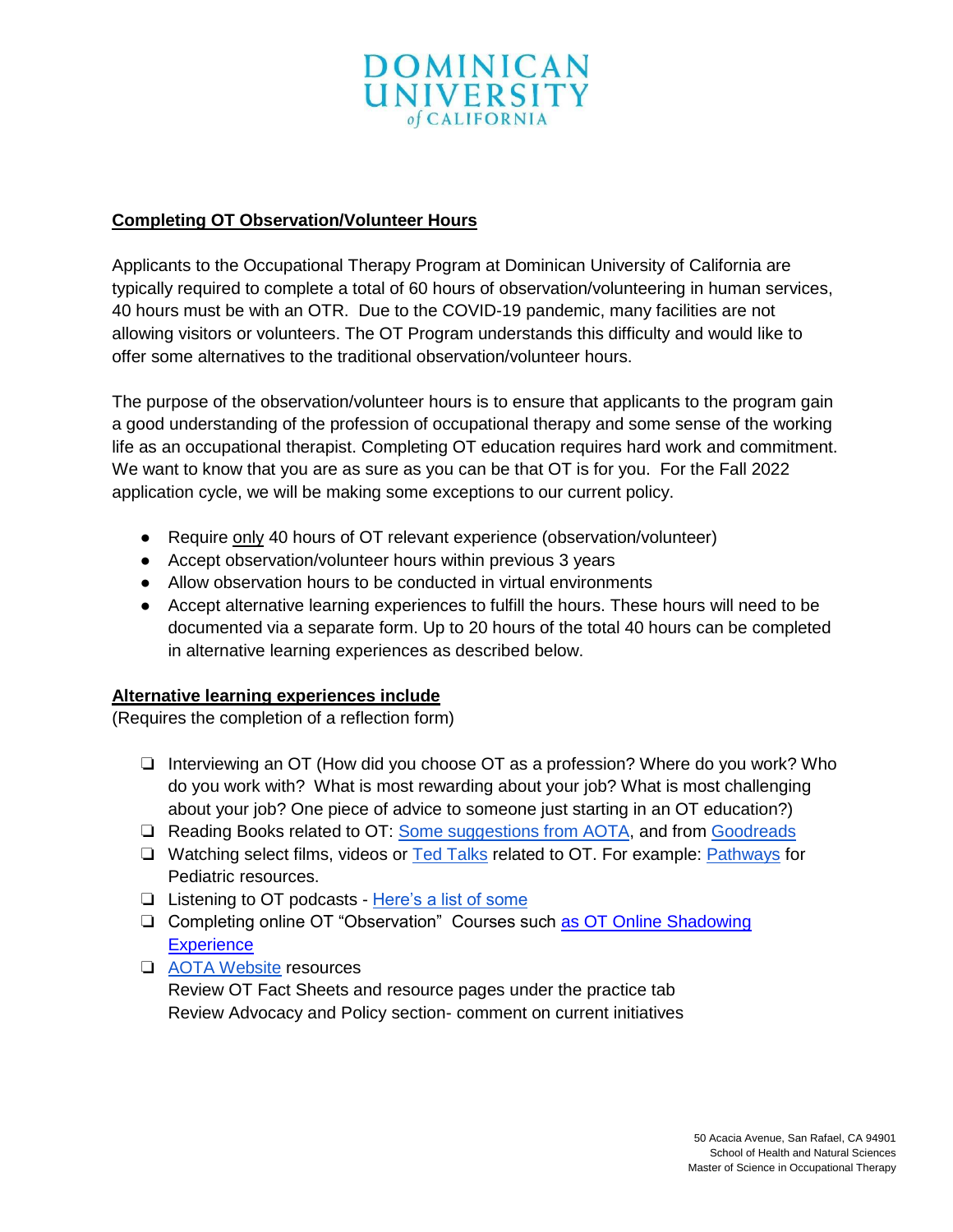

## **Completing OT Observation/Volunteer Hours**

Applicants to the Occupational Therapy Program at Dominican University of California are typically required to complete a total of 60 hours of observation/volunteering in human services, 40 hours must be with an OTR. Due to the COVID-19 pandemic, many facilities are not allowing visitors or volunteers. The OT Program understands this difficulty and would like to offer some alternatives to the traditional observation/volunteer hours.

The purpose of the observation/volunteer hours is to ensure that applicants to the program gain a good understanding of the profession of occupational therapy and some sense of the working life as an occupational therapist. Completing OT education requires hard work and commitment. We want to know that you are as sure as you can be that OT is for you. For the Fall 2022 application cycle, we will be making some exceptions to our current policy.

- Require only 40 hours of OT relevant experience (observation/volunteer)
- Accept observation/volunteer hours within previous 3 years
- Allow observation hours to be conducted in virtual environments
- Accept alternative learning experiences to fulfill the hours. These hours will need to be documented via a separate form. Up to 20 hours of the total 40 hours can be completed in alternative learning experiences as described below.

## **Alternative learning experiences include**

(Requires the completion of a reflection form)

- ❏ Interviewing an OT (How did you choose OT as a profession? Where do you work? Who do you work with? What is most rewarding about your job? What is most challenging about your job? One piece of advice to someone just starting in an OT education?)
- ❏ Reading Books related to OT: [Some suggestions from AOTA,](https://communot.aota.org/blogs/stephanie-yamkovenko/2019/06/06/reading-book-novels-memoirs-nonfiction-ot-loves) and from [Goodreads](https://www.goodreads.com/)
- ❏ Watching select films, videos or [Ted Talks](https://www.youtube.com/playlist?list=PLTkeZn8Dib6JhIlY6V3Gkf8oyTEJ7Cuif) related to OT. For example: [Pathways](https://pathways.org/) for Pediatric resources.
- ❏ Listening to OT podcasts [Here's a list of some](https://www.myotspot.com/occupational-therapy-podcasts/)
- ❏ Completing online OT "Observation" Courses such [as OT Online Shadowing](https://www.aota.org/Education-Careers/Students/Pulse/Archive/career-advice/Resume-building.aspx)  **[Experience](https://www.aota.org/Education-Careers/Students/Pulse/Archive/career-advice/Resume-building.aspx)**
- ❏ [AOTA Website](https://www.aota.org/) resources

Review OT Fact Sheets and resource pages under the practice tab Review Advocacy and Policy section- comment on current initiatives